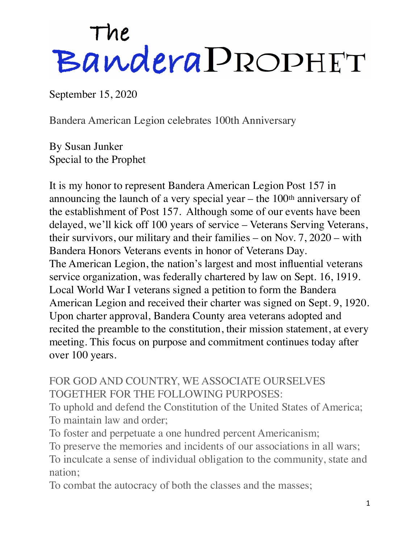## The<br>Bandera PROPHET

September 15, 2020

Bandera American Legion celebrates 100th Anniversary

By Susan Junker Special to the Prophet

It is my honor to represent Bandera American Legion Post 157 in announcing the launch of a very special year – the  $100<sup>th</sup>$  anniversary of the establishment of Post 157. Although some of our events have been delayed, we'll kick off 100 years of service – Veterans Serving Veterans, their survivors, our military and their families – on Nov. 7, 2020 – with Bandera Honors Veterans events in honor of Veterans Day. The American Legion, the nation's largest and most influential veterans service organization, was federally chartered by law on Sept. 16, 1919. Local World War I veterans signed a petition to form the Bandera American Legion and received their charter was signed on Sept. 9, 1920. Upon charter approval, Bandera County area veterans adopted and recited the preamble to the constitution, their mission statement, at every meeting. This focus on purpose and commitment continues today after over 100 years.

FOR GOD AND COUNTRY, WE ASSOCIATE OURSELVES TOGETHER FOR THE FOLLOWING PURPOSES:

To uphold and defend the Constitution of the United States of America; To maintain law and order;

To foster and perpetuate a one hundred percent Americanism;

To preserve the memories and incidents of our associations in all wars;

To inculcate a sense of individual obligation to the community, state and nation;

To combat the autocracy of both the classes and the masses;